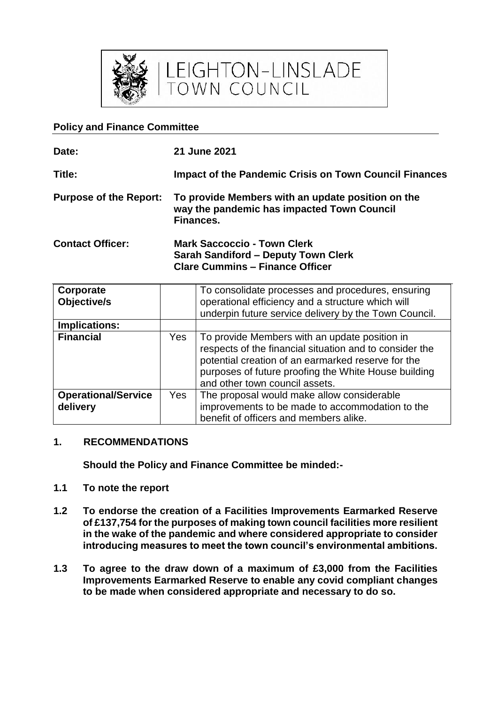

LEIGHTON-LINSLADE<br>TOWN COUNCIL

### **Policy and Finance Committee**

| Date:                         | 21 June 2021                                                                                                               |  |
|-------------------------------|----------------------------------------------------------------------------------------------------------------------------|--|
| Title:                        | <b>Impact of the Pandemic Crisis on Town Council Finances</b>                                                              |  |
| <b>Purpose of the Report:</b> | To provide Members with an update position on the<br>way the pandemic has impacted Town Council<br>Finances.               |  |
| <b>Contact Officer:</b>       | <b>Mark Saccoccio - Town Clerk</b><br><b>Sarah Sandiford - Deputy Town Clerk</b><br><b>Clare Cummins - Finance Officer</b> |  |

| Corporate<br>Objective/s   |     | To consolidate processes and procedures, ensuring<br>operational efficiency and a structure which will<br>underpin future service delivery by the Town Council.                                                                                          |
|----------------------------|-----|----------------------------------------------------------------------------------------------------------------------------------------------------------------------------------------------------------------------------------------------------------|
| Implications:              |     |                                                                                                                                                                                                                                                          |
| <b>Financial</b>           | Yes | To provide Members with an update position in<br>respects of the financial situation and to consider the<br>potential creation of an earmarked reserve for the<br>purposes of future proofing the White House building<br>and other town council assets. |
| <b>Operational/Service</b> | Yes | The proposal would make allow considerable                                                                                                                                                                                                               |
| delivery                   |     | improvements to be made to accommodation to the                                                                                                                                                                                                          |
|                            |     | benefit of officers and members alike.                                                                                                                                                                                                                   |

#### **1. RECOMMENDATIONS**

**Should the Policy and Finance Committee be minded:-**

- **1.1 To note the report**
- **1.2 To endorse the creation of a Facilities Improvements Earmarked Reserve of £137,754 for the purposes of making town council facilities more resilient in the wake of the pandemic and where considered appropriate to consider introducing measures to meet the town council's environmental ambitions.**
- **1.3 To agree to the draw down of a maximum of £3,000 from the Facilities Improvements Earmarked Reserve to enable any covid compliant changes to be made when considered appropriate and necessary to do so.**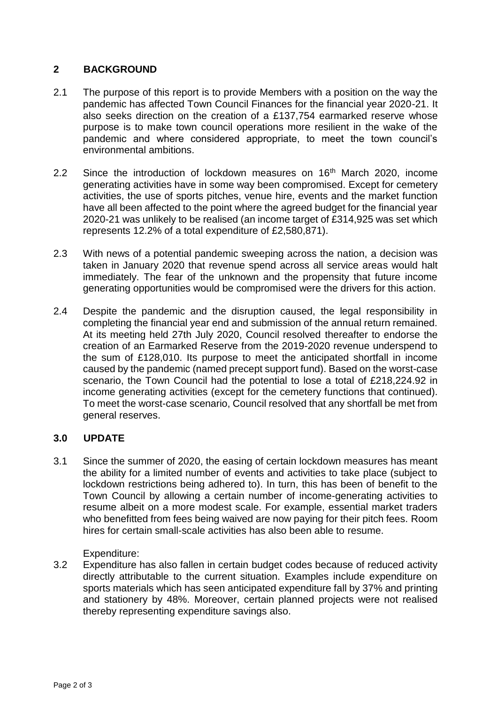# **2 BACKGROUND**

- 2.1 The purpose of this report is to provide Members with a position on the way the pandemic has affected Town Council Finances for the financial year 2020-21. It also seeks direction on the creation of a £137,754 earmarked reserve whose purpose is to make town council operations more resilient in the wake of the pandemic and where considered appropriate, to meet the town council's environmental ambitions.
- 2.2 Since the introduction of lockdown measures on 16<sup>th</sup> March 2020, income generating activities have in some way been compromised. Except for cemetery activities, the use of sports pitches, venue hire, events and the market function have all been affected to the point where the agreed budget for the financial year 2020-21 was unlikely to be realised (an income target of £314,925 was set which represents 12.2% of a total expenditure of £2,580,871).
- 2.3 With news of a potential pandemic sweeping across the nation, a decision was taken in January 2020 that revenue spend across all service areas would halt immediately. The fear of the unknown and the propensity that future income generating opportunities would be compromised were the drivers for this action.
- 2.4 Despite the pandemic and the disruption caused, the legal responsibility in completing the financial year end and submission of the annual return remained. At its meeting held 27th July 2020, Council resolved thereafter to endorse the creation of an Earmarked Reserve from the 2019-2020 revenue underspend to the sum of £128,010. Its purpose to meet the anticipated shortfall in income caused by the pandemic (named precept support fund). Based on the worst-case scenario, the Town Council had the potential to lose a total of £218,224.92 in income generating activities (except for the cemetery functions that continued). To meet the worst-case scenario, Council resolved that any shortfall be met from general reserves.

# **3.0 UPDATE**

3.1 Since the summer of 2020, the easing of certain lockdown measures has meant the ability for a limited number of events and activities to take place (subject to lockdown restrictions being adhered to). In turn, this has been of benefit to the Town Council by allowing a certain number of income-generating activities to resume albeit on a more modest scale. For example, essential market traders who benefitted from fees being waived are now paying for their pitch fees. Room hires for certain small-scale activities has also been able to resume.

Expenditure:

3.2 Expenditure has also fallen in certain budget codes because of reduced activity directly attributable to the current situation. Examples include expenditure on sports materials which has seen anticipated expenditure fall by 37% and printing and stationery by 48%. Moreover, certain planned projects were not realised thereby representing expenditure savings also.